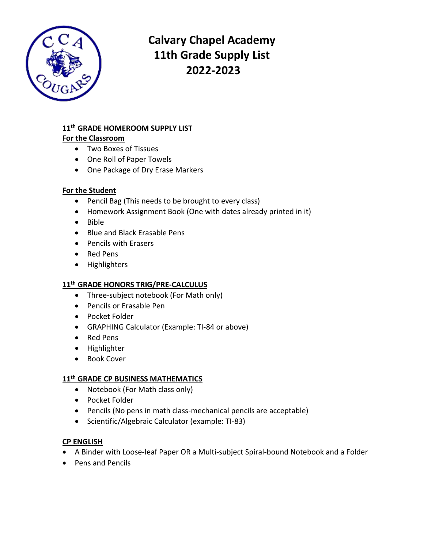

**Calvary Chapel Academy 11th Grade Supply List 2022-2023**

# **11th GRADE HOMEROOM SUPPLY LIST**

## **For the Classroom**

- Two Boxes of Tissues
- One Roll of Paper Towels
- One Package of Dry Erase Markers

# **For the Student**

- Pencil Bag (This needs to be brought to every class)
- Homework Assignment Book (One with dates already printed in it)
- Bible
- Blue and Black Erasable Pens
- Pencils with Erasers
- Red Pens
- Highlighters

### **11th GRADE HONORS TRIG/PRE-CALCULUS**

- Three-subject notebook (For Math only)
- Pencils or Erasable Pen
- Pocket Folder
- GRAPHING Calculator (Example: TI-84 or above)
- Red Pens
- Highlighter
- Book Cover

# **11th GRADE CP BUSINESS MATHEMATICS**

- Notebook (For Math class only)
- Pocket Folder
- Pencils (No pens in math class-mechanical pencils are acceptable)
- Scientific/Algebraic Calculator (example: TI-83)

# **CP ENGLISH**

- A Binder with Loose-leaf Paper OR a Multi-subject Spiral-bound Notebook and a Folder
- Pens and Pencils